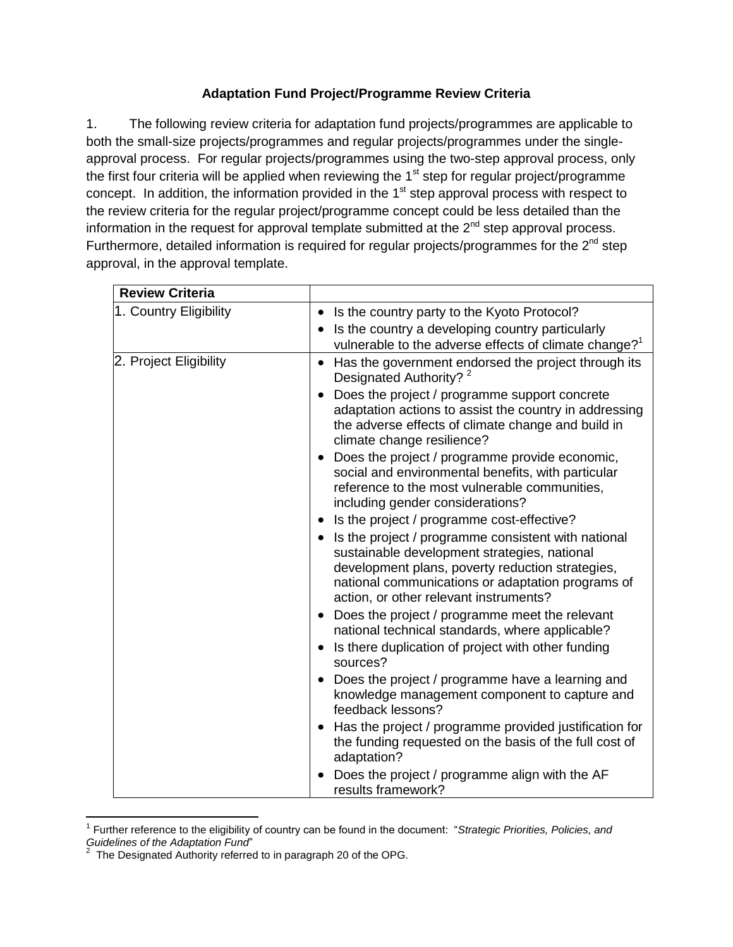## **Adaptation Fund Project/Programme Review Criteria**

1. The following review criteria for adaptation fund projects/programmes are applicable to both the small-size projects/programmes and regular projects/programmes under the singleapproval process. For regular projects/programmes using the two-step approval process, only the first four criteria will be applied when reviewing the  $1<sup>st</sup>$  step for regular project/programme concept. In addition, the information provided in the  $1<sup>st</sup>$  step approval process with respect to the review criteria for the regular project/programme concept could be less detailed than the information in the request for approval template submitted at the  $2<sup>nd</sup>$  step approval process. Furthermore, detailed information is required for regular projects/programmes for the  $2^{nd}$  step approval, in the approval template.

| <b>Review Criteria</b> |                                                                                                                                                                                                                                                                                                                                 |
|------------------------|---------------------------------------------------------------------------------------------------------------------------------------------------------------------------------------------------------------------------------------------------------------------------------------------------------------------------------|
| 1. Country Eligibility | Is the country party to the Kyoto Protocol?<br>$\bullet$                                                                                                                                                                                                                                                                        |
|                        | Is the country a developing country particularly<br>vulnerable to the adverse effects of climate change? <sup>1</sup>                                                                                                                                                                                                           |
| 2. Project Eligibility | Has the government endorsed the project through its<br>Designated Authority? 2<br>Does the project / programme support concrete<br>adaptation actions to assist the country in addressing<br>the adverse effects of climate change and build in<br>climate change resilience?<br>Does the project / programme provide economic, |
|                        | social and environmental benefits, with particular<br>reference to the most vulnerable communities,<br>including gender considerations?                                                                                                                                                                                         |
|                        | Is the project / programme cost-effective?<br>Is the project / programme consistent with national<br>sustainable development strategies, national<br>development plans, poverty reduction strategies,<br>national communications or adaptation programs of<br>action, or other relevant instruments?                            |
|                        | Does the project / programme meet the relevant<br>national technical standards, where applicable?<br>Is there duplication of project with other funding<br>sources?                                                                                                                                                             |
|                        | Does the project / programme have a learning and<br>knowledge management component to capture and<br>feedback lessons?                                                                                                                                                                                                          |
|                        | Has the project / programme provided justification for<br>the funding requested on the basis of the full cost of<br>adaptation?                                                                                                                                                                                                 |
|                        | Does the project / programme align with the AF<br>results framework?                                                                                                                                                                                                                                                            |

 $\overline{a}$ 1 Further reference to the eligibility of country can be found in the document: "*Strategic Priorities, Policies, and Guidelines of the Adaptation Fund*" 2

The Designated Authority referred to in paragraph 20 of the OPG.